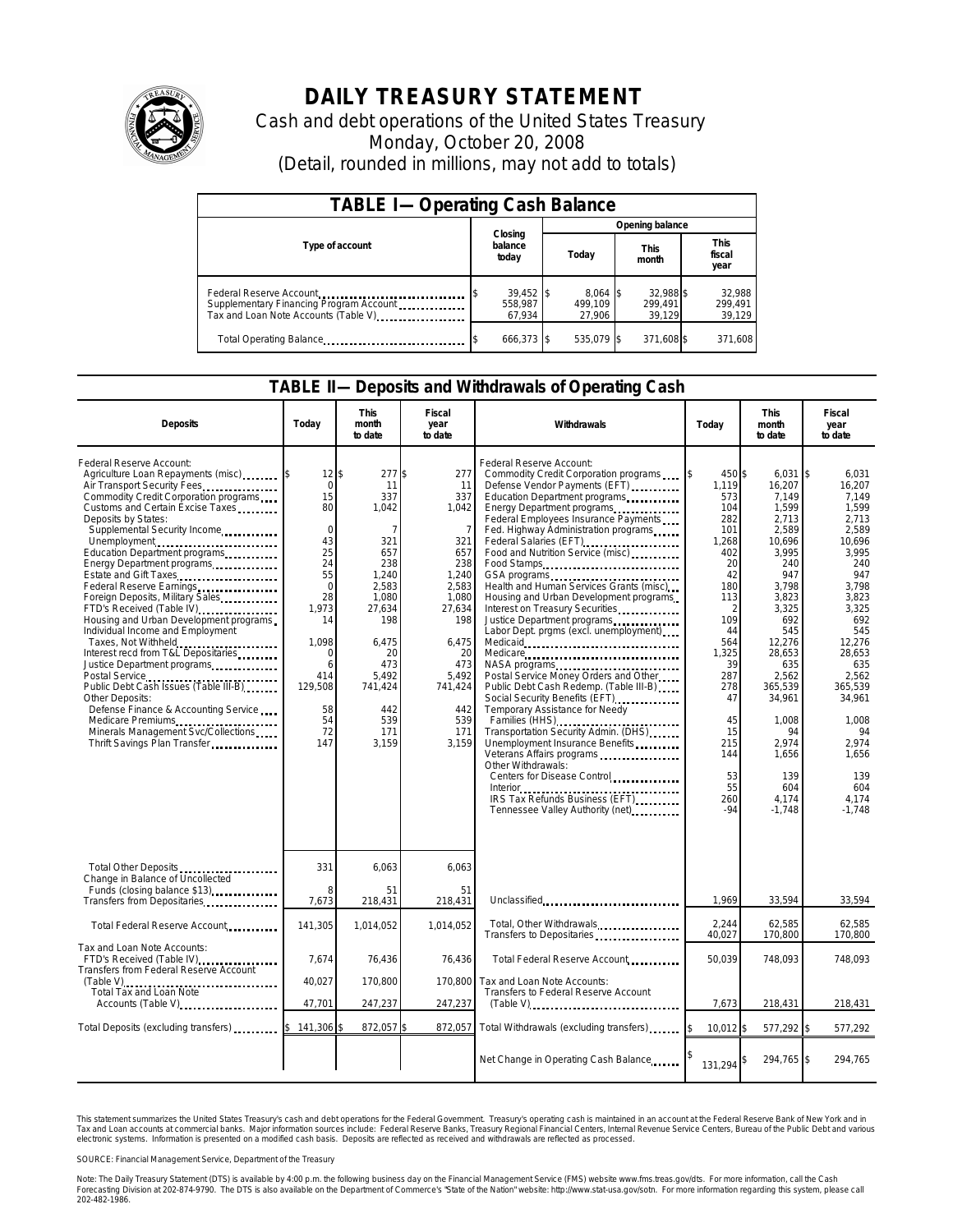

# **DAILY TREASURY STATEMENT**

Cash and debt operations of the United States Treasury Monday, October 20, 2008 (Detail, rounded in millions, may not add to totals)

| <b>TABLE I-Operating Cash Balance</b>                                                                      |                                  |                                 |                                |                               |  |  |  |  |
|------------------------------------------------------------------------------------------------------------|----------------------------------|---------------------------------|--------------------------------|-------------------------------|--|--|--|--|
|                                                                                                            |                                  | Opening balance                 |                                |                               |  |  |  |  |
| Type of account                                                                                            | Closing<br>balance<br>today      | Today                           | <b>This</b><br>month           | <b>This</b><br>fiscal<br>year |  |  |  |  |
| Federal Reserve Account<br>Supplementary Financing Program Account<br>Tax and Loan Note Accounts (Table V) | $39,452$ \$<br>558.987<br>67.934 | $8,064$ \$<br>499.109<br>27,906 | 32,988 \$<br>299.491<br>39.129 | 32,988<br>299.491<br>39,129   |  |  |  |  |
| Total Operating Balance                                                                                    | 666,373 \$                       | 535,079 \$                      | 371,608 \$                     | 371,608                       |  |  |  |  |

#### **TABLE II—Deposits and Withdrawals of Operating Cash**

| <b>Deposits</b>                                                                                                                                                                                                                                                                                                                                                                                                                                                                                                                                                                                                                                                                                                                                         | Today                                                                                                                                                                       | <b>This</b><br>month<br>to date                                                                                                                                              | Fiscal<br>year<br>to date                                                                                                                                               | Withdrawals                                                                                                                                                                                                                                                                                                                                                                                                                                                                                                                                                                                                                                                                                                                                                                                                                                                                                         | Today                                                                                                                                                                                                                | <b>This</b><br>month<br>to date                                                                                                                                                                                                                                 | <b>Fiscal</b><br>year<br>to date                                                                                                                                                                                                                           |
|---------------------------------------------------------------------------------------------------------------------------------------------------------------------------------------------------------------------------------------------------------------------------------------------------------------------------------------------------------------------------------------------------------------------------------------------------------------------------------------------------------------------------------------------------------------------------------------------------------------------------------------------------------------------------------------------------------------------------------------------------------|-----------------------------------------------------------------------------------------------------------------------------------------------------------------------------|------------------------------------------------------------------------------------------------------------------------------------------------------------------------------|-------------------------------------------------------------------------------------------------------------------------------------------------------------------------|-----------------------------------------------------------------------------------------------------------------------------------------------------------------------------------------------------------------------------------------------------------------------------------------------------------------------------------------------------------------------------------------------------------------------------------------------------------------------------------------------------------------------------------------------------------------------------------------------------------------------------------------------------------------------------------------------------------------------------------------------------------------------------------------------------------------------------------------------------------------------------------------------------|----------------------------------------------------------------------------------------------------------------------------------------------------------------------------------------------------------------------|-----------------------------------------------------------------------------------------------------------------------------------------------------------------------------------------------------------------------------------------------------------------|------------------------------------------------------------------------------------------------------------------------------------------------------------------------------------------------------------------------------------------------------------|
| Federal Reserve Account:<br>Air Transport Security Fees<br>Commodity Credit Corporation programs<br>Customs and Certain Excise Taxes<br>Deposits by States:<br>Supplemental Security Income<br>Unemployment<br>Education Department programs<br>Energy Department programs<br>Estate and Gift Taxes<br>Federal Reserve Earnings<br>Foreign Deposits, Military Sales<br>FTD's Received (Table IV)<br>Housing and Urban Development programs<br>Individual Income and Employment<br>Taxes, Not Withheld<br>Interest recd from T&L Depositaries<br>Justice Department programs.<br>Public Debt Cash Issues (Table III-B)<br>Other Deposits:<br>Defense Finance & Accounting Service<br>Minerals Management Svc/Collections<br>Thrift Savings Plan Transfer | $12 \,$ \$<br>$\mathbf 0$<br>15<br>80<br>$\Omega$<br>43<br>25<br>24<br>55<br>$\mathbf 0$<br>28<br>1.973<br>14<br>1.098<br>C<br>6<br>414<br>129,508<br>58<br>54<br>72<br>147 | $277$ \$<br>11<br>337<br>1,042<br>7<br>321<br>657<br>238<br>1,240<br>2.583<br>1,080<br>27,634<br>198<br>6.475<br>20<br>473<br>5,492<br>741,424<br>442<br>539<br>171<br>3.159 | 277<br>11<br>337<br>1,042<br>7<br>321<br>657<br>238<br>1,240<br>2,583<br>1,080<br>27,634<br>198<br>6.475<br>20<br>473<br>5,492<br>741,424<br>442<br>539<br>171<br>3.159 | Federal Reserve Account:<br>Commodity Credit Corporation programs<br>Defense Vendor Payments (EFT)<br>Education Department programs<br>Energy Department programs<br>Federal Employees Insurance Payments<br>Fed. Highway Administration programs<br>Federal Salaries (EFT)<br>Food and Nutrition Service (misc)<br>Food Stamps<br>Health and Human Services Grants (misc)<br>Housing and Urban Development programs<br>Interest on Treasury Securities<br>Labor Dept. prgms (excl. unemployment)<br>Medicaid<br>Medicare<br>Postal Service Money Orders and Other<br>Public Debt Cash Redemp. (Table III-B)<br>Temporary Assistance for Needy<br>Families (HHS)<br>Transportation Security Admin. (DHS)<br>Unemployment Insurance Benefits<br>Veterans Affairs programs<br>Other Withdrawals:<br>Centers for Disease Control<br>IRS Tax Refunds Business (EFT)<br>Tennessee Valley Authority (net) | 450 \$<br>1,119<br>573<br>104<br>282<br>101<br>1,268<br>402<br>20<br>42<br>180<br>113<br>$\overline{2}$<br>109<br>44<br>564<br>1,325<br>39<br>287<br>278<br>47<br>45<br>15<br>215<br>144<br>53<br>55<br>260<br>$-94$ | $6,031$ \$<br>16,207<br>7.149<br>1,599<br>2,713<br>2,589<br>10,696<br>3,995<br>240<br>947<br>3.798<br>3,823<br>3,325<br>692<br>545<br>12,276<br>28,653<br>635<br>2,562<br>365,539<br>34,961<br>1,008<br>94<br>2,974<br>1,656<br>139<br>604<br>4,174<br>$-1,748$ | 6,031<br>16,207<br>7.149<br>1.599<br>2.713<br>2,589<br>10.696<br>3.995<br>240<br>947<br>3.798<br>3,823<br>3,325<br>692<br>545<br>12,276<br>28,653<br>635<br>2,562<br>365.539<br>34,961<br>1,008<br>94<br>2.974<br>1.656<br>139<br>604<br>4.174<br>$-1.748$ |
| Total Other Deposits<br>Change in Balance of Uncollected                                                                                                                                                                                                                                                                                                                                                                                                                                                                                                                                                                                                                                                                                                | 331                                                                                                                                                                         | 6.063                                                                                                                                                                        | 6,063                                                                                                                                                                   |                                                                                                                                                                                                                                                                                                                                                                                                                                                                                                                                                                                                                                                                                                                                                                                                                                                                                                     |                                                                                                                                                                                                                      |                                                                                                                                                                                                                                                                 |                                                                                                                                                                                                                                                            |
| Funds (closing balance \$13)<br>Transfers from Depositaries                                                                                                                                                                                                                                                                                                                                                                                                                                                                                                                                                                                                                                                                                             | 8<br>7,673                                                                                                                                                                  | 51<br>218,431                                                                                                                                                                | 51<br>218,431                                                                                                                                                           | Unclassified                                                                                                                                                                                                                                                                                                                                                                                                                                                                                                                                                                                                                                                                                                                                                                                                                                                                                        | 1,969                                                                                                                                                                                                                | 33,594                                                                                                                                                                                                                                                          | 33,594                                                                                                                                                                                                                                                     |
| Total Federal Reserve Account                                                                                                                                                                                                                                                                                                                                                                                                                                                                                                                                                                                                                                                                                                                           | 141,305                                                                                                                                                                     | 1,014,052                                                                                                                                                                    | 1,014,052                                                                                                                                                               | Total, Other Withdrawals<br>Transfers to Depositaries                                                                                                                                                                                                                                                                                                                                                                                                                                                                                                                                                                                                                                                                                                                                                                                                                                               | 2,244<br>40,027                                                                                                                                                                                                      | 62,585<br>170,800                                                                                                                                                                                                                                               | 62,585<br>170,800                                                                                                                                                                                                                                          |
| Tax and Loan Note Accounts:<br>FTD's Received (Table IV)<br>Transfers from Federal Reserve Account                                                                                                                                                                                                                                                                                                                                                                                                                                                                                                                                                                                                                                                      | 7,674                                                                                                                                                                       | 76,436                                                                                                                                                                       | 76,436                                                                                                                                                                  | Total Federal Reserve Account                                                                                                                                                                                                                                                                                                                                                                                                                                                                                                                                                                                                                                                                                                                                                                                                                                                                       | 50.039                                                                                                                                                                                                               | 748,093                                                                                                                                                                                                                                                         | 748,093                                                                                                                                                                                                                                                    |
| Total Tax and Loan Note<br>Accounts (Table V)                                                                                                                                                                                                                                                                                                                                                                                                                                                                                                                                                                                                                                                                                                           | 40,027<br>47,701                                                                                                                                                            | 170,800<br>247,237                                                                                                                                                           | 170.800<br>247,237                                                                                                                                                      | Tax and Loan Note Accounts:<br>Transfers to Federal Reserve Account<br>$(Table V)$                                                                                                                                                                                                                                                                                                                                                                                                                                                                                                                                                                                                                                                                                                                                                                                                                  | 7,673                                                                                                                                                                                                                | 218,431                                                                                                                                                                                                                                                         | 218,431                                                                                                                                                                                                                                                    |
| Total Deposits (excluding transfers)                                                                                                                                                                                                                                                                                                                                                                                                                                                                                                                                                                                                                                                                                                                    | \$<br>141,306                                                                                                                                                               | 872,057                                                                                                                                                                      | 872,057                                                                                                                                                                 | Total Withdrawals (excluding transfers) [8]                                                                                                                                                                                                                                                                                                                                                                                                                                                                                                                                                                                                                                                                                                                                                                                                                                                         | $10,012$ \$                                                                                                                                                                                                          | 577,292 \$                                                                                                                                                                                                                                                      | 577,292                                                                                                                                                                                                                                                    |
|                                                                                                                                                                                                                                                                                                                                                                                                                                                                                                                                                                                                                                                                                                                                                         |                                                                                                                                                                             |                                                                                                                                                                              |                                                                                                                                                                         | Net Change in Operating Cash Balance                                                                                                                                                                                                                                                                                                                                                                                                                                                                                                                                                                                                                                                                                                                                                                                                                                                                | 131,294                                                                                                                                                                                                              | 294,765 \$                                                                                                                                                                                                                                                      | 294,765                                                                                                                                                                                                                                                    |

This statement summarizes the United States Treasury's cash and debt operations for the Federal Government. Treasury's operating cash is maintained in an account at the Federal Reserve Bank of New York and in<br>Tax and Loan narizes the United States Treasury's cash and debt operations for the Federal Government. Treasury's operating cash is maintained in an account at the Federal Reserve Bank of New York and in<br>nts at commercial banks. Major

SOURCE: Financial Management Service, Department of the Treasury

Note: The Daily Treasury Statement (DTS) is available by 4:00 p.m. the following business day on the Financial Management Service (FMS) website www.fms.treas.gov/dts.<br>Forecasting Division at 202-874-9790. The DTS is also a 'S) is available by 4:00 p.m. the following business day on the Financial Management Service (FMS) website www.fms.treas.gov/dts. For more information, call the Cash<br>The DTS is also available on the Department of Commerce'